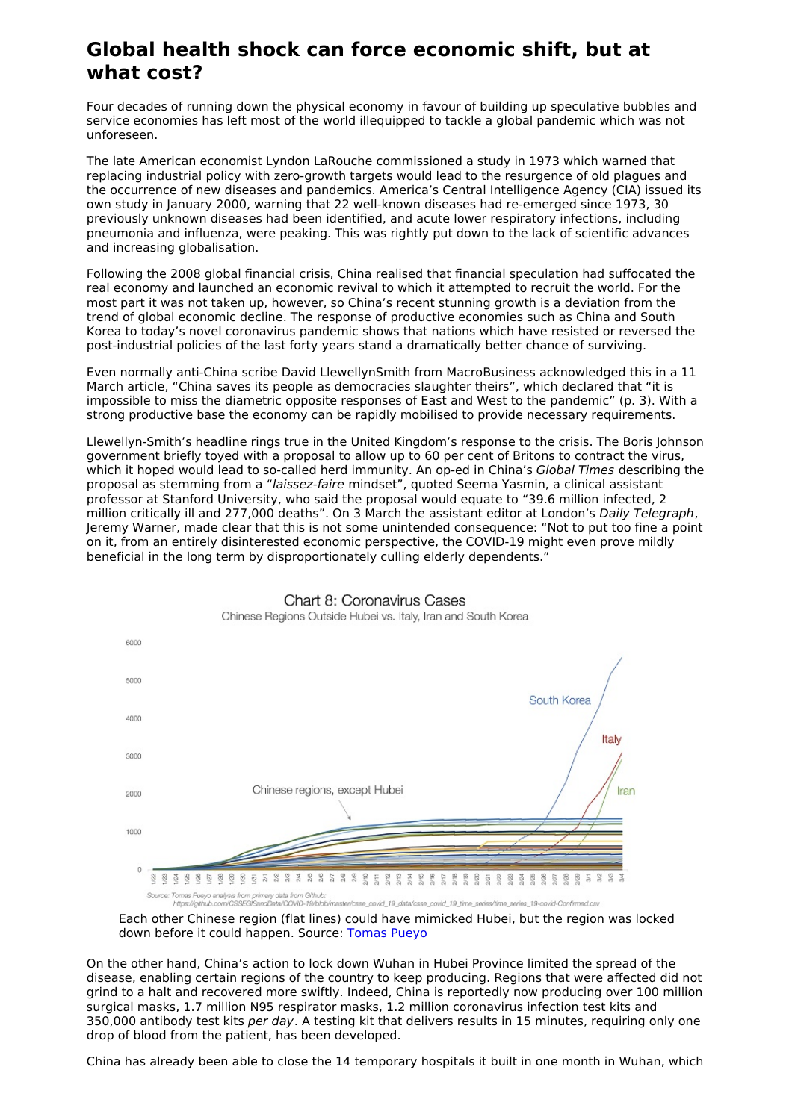## **Global health shock can force economic shift, but at what cost?**

Four decades of running down the physical economy in favour of building up speculative bubbles and service economies has left most of the world illequipped to tackle a global pandemic which was not unforeseen.

The late American economist Lyndon LaRouche commissioned a study in 1973 which warned that replacing industrial policy with zero-growth targets would lead to the resurgence of old plagues and the occurrence of new diseases and pandemics. America's Central Intelligence Agency (CIA) issued its own study in January 2000, warning that 22 well-known diseases had re-emerged since 1973, 30 previously unknown diseases had been identified, and acute lower respiratory infections, including pneumonia and influenza, were peaking. This was rightly put down to the lack of scientific advances and increasing globalisation.

Following the 2008 global financial crisis, China realised that financial speculation had suffocated the real economy and launched an economic revival to which it attempted to recruit the world. For the most part it was not taken up, however, so China's recent stunning growth is a deviation from the trend of global economic decline. The response of productive economies such as China and South Korea to today's novel coronavirus pandemic shows that nations which have resisted or reversed the post-industrial policies of the last forty years stand a dramatically better chance of surviving.

Even normally anti-China scribe David LlewellynSmith from MacroBusiness acknowledged this in a 11 March article, "China saves its people as democracies slaughter theirs", which declared that "it is impossible to miss the diametric opposite responses of East and West to the pandemic" (p. 3). With a strong productive base the economy can be rapidly mobilised to provide necessary requirements.

Llewellyn-Smith's headline rings true in the United Kingdom's response to the crisis. The Boris Johnson government briefly toyed with a proposal to allow up to 60 per cent of Britons to contract the virus, which it hoped would lead to so-called herd immunity. An op-ed in China's Global Times describing the proposal as stemming from a "laissez-faire mindset", quoted Seema Yasmin, a clinical assistant professor at Stanford University, who said the proposal would equate to "39.6 million infected, 2 million critically ill and 277,000 deaths". On 3 March the assistant editor at London's Daily Telegraph, Jeremy Warner, made clear that this is not some unintended consequence: "Not to put too fine a point on it, from an entirely disinterested economic perspective, the COVID-19 might even prove mildly beneficial in the long term by disproportionately culling elderly dependents."



**Chart 8: Coronavirus Cases** Chinese Regions Outside Hubei vs. Italy, Iran and South Korea

Each other Chinese region (flat lines) could have mimicked Hubei, but the region was locked down before it could happen. Source: [Tomas](https://medium.com/@tomaspueyo/coronavirus-act-today-or-people-will-die-f4d3d9cd99ca) Pueyo

On the other hand, China's action to lock down Wuhan in Hubei Province limited the spread of the disease, enabling certain regions of the country to keep producing. Regions that were affected did not grind to a halt and recovered more swiftly. Indeed, China is reportedly now producing over 100 million surgical masks, 1.7 million N95 respirator masks, 1.2 million coronavirus infection test kits and 350,000 antibody test kits per day. A testing kit that delivers results in 15 minutes, requiring only one drop of blood from the patient, has been developed.

China has already been able to close the 14 temporary hospitals it built in one month in Wuhan, which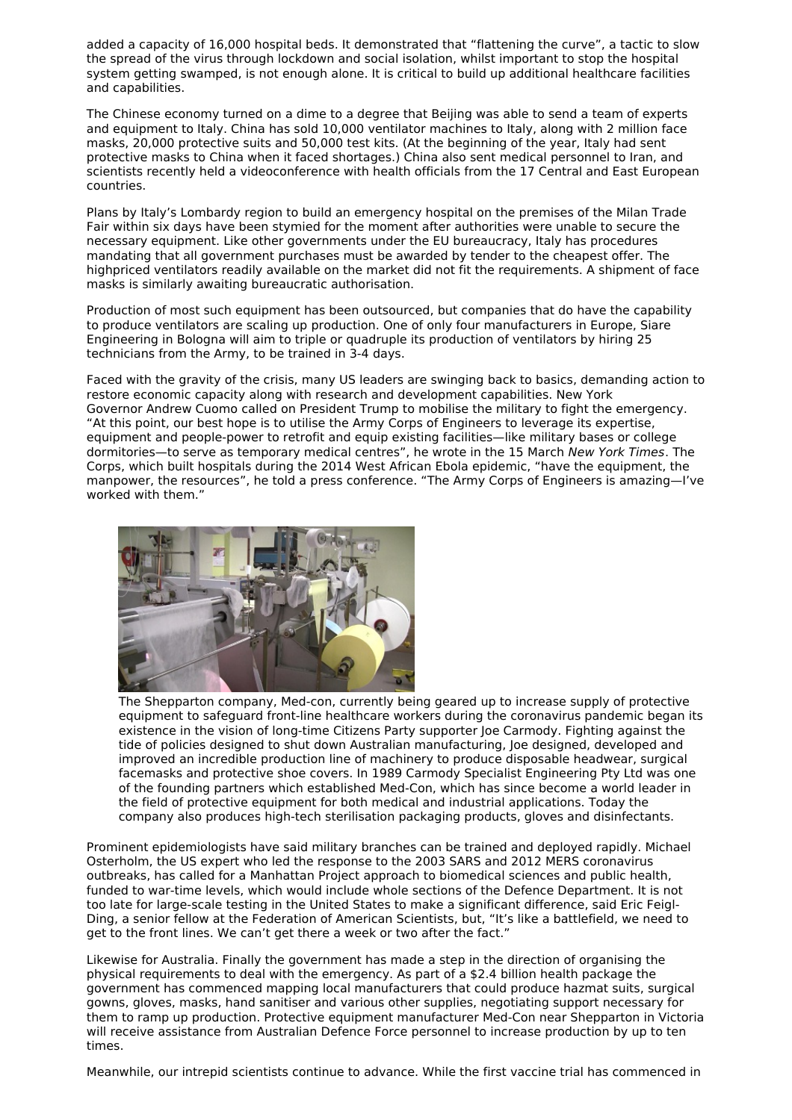added a capacity of 16,000 hospital beds. It demonstrated that "flattening the curve", a tactic to slow the spread of the virus through lockdown and social isolation, whilst important to stop the hospital system getting swamped, is not enough alone. It is critical to build up additional healthcare facilities and capabilities.

The Chinese economy turned on a dime to a degree that Beijing was able to send a team of experts and equipment to Italy. China has sold 10,000 ventilator machines to Italy, along with 2 million face masks, 20,000 protective suits and 50,000 test kits. (At the beginning of the year, Italy had sent protective masks to China when it faced shortages.) China also sent medical personnel to Iran, and scientists recently held a videoconference with health officials from the 17 Central and East European countries.

Plans by Italy's Lombardy region to build an emergency hospital on the premises of the Milan Trade Fair within six days have been stymied for the moment after authorities were unable to secure the necessary equipment. Like other governments under the EU bureaucracy, Italy has procedures mandating that all government purchases must be awarded by tender to the cheapest offer. The highpriced ventilators readily available on the market did not fit the requirements. A shipment of face masks is similarly awaiting bureaucratic authorisation.

Production of most such equipment has been outsourced, but companies that do have the capability to produce ventilators are scaling up production. One of only four manufacturers in Europe, Siare Engineering in Bologna will aim to triple or quadruple its production of ventilators by hiring 25 technicians from the Army, to be trained in 3-4 days.

Faced with the gravity of the crisis, many US leaders are swinging back to basics, demanding action to restore economic capacity along with research and development capabilities. New York Governor Andrew Cuomo called on President Trump to mobilise the military to fight the emergency. "At this point, our best hope is to utilise the Army Corps of Engineers to leverage its expertise, equipment and people-power to retrofit and equip existing facilities—like military bases or college dormitories—to serve as temporary medical centres", he wrote in the 15 March New York Times. The Corps, which built hospitals during the 2014 West African Ebola epidemic, "have the equipment, the manpower, the resources", he told a press conference. "The Army Corps of Engineers is amazing—I've worked with them."



The Shepparton company, Med-con, currently being geared up to increase supply of protective equipment to safeguard front-line healthcare workers during the coronavirus pandemic began its existence in the vision of long-time Citizens Party supporter Joe Carmody. Fighting against the tide of policies designed to shut down Australian manufacturing, Joe designed, developed and improved an incredible production line of machinery to produce disposable headwear, surgical facemasks and protective shoe covers. In 1989 Carmody Specialist Engineering Pty Ltd was one of the founding partners which established Med-Con, which has since become a world leader in the field of protective equipment for both medical and industrial applications. Today the company also produces high-tech sterilisation packaging products, gloves and disinfectants.

Prominent epidemiologists have said military branches can be trained and deployed rapidly. Michael Osterholm, the US expert who led the response to the 2003 SARS and 2012 MERS coronavirus outbreaks, has called for a Manhattan Project approach to biomedical sciences and public health, funded to war-time levels, which would include whole sections of the Defence Department. It is not too late for large-scale testing in the United States to make a significant difference, said Eric Feigl-Ding, a senior fellow at the Federation of American Scientists, but, "It's like a battlefield, we need to get to the front lines. We can't get there a week or two after the fact."

Likewise for Australia. Finally the government has made a step in the direction of organising the physical requirements to deal with the emergency. As part of a \$2.4 billion health package the government has commenced mapping local manufacturers that could produce hazmat suits, surgical gowns, gloves, masks, hand sanitiser and various other supplies, negotiating support necessary for them to ramp up production. Protective equipment manufacturer Med-Con near Shepparton in Victoria will receive assistance from Australian Defence Force personnel to increase production by up to ten times.

Meanwhile, our intrepid scientists continue to advance. While the first vaccine trial has commenced in